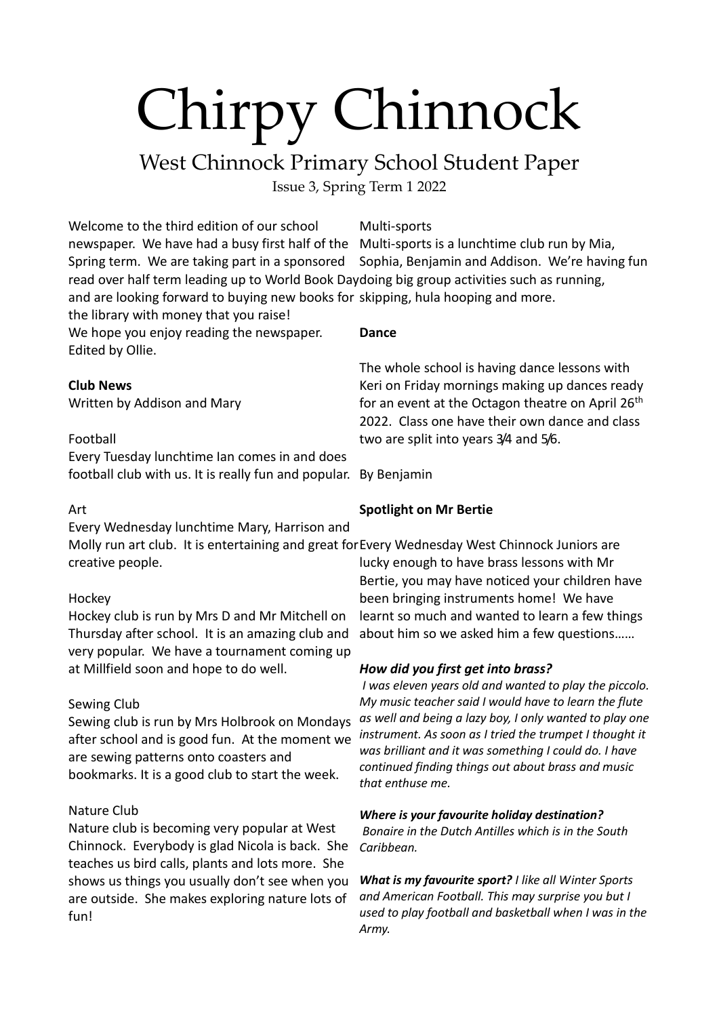### West Chinnock Primary School Student Paper

Issue 3, Spring Term 1 2022

Welcome to the third edition of our school newspaper. We have had a busy first half of the Multi-sports is a lunchtime club run by Mia, Spring term. We are taking part in a sponsored read over half term leading up to World Book Daydoing big group activities such as running, and are looking forward to buying new books for skipping, hula hooping and more.

the library with money that you raise! We hope you enjoy reading the newspaper.

Edited by Ollie.

#### **Club News**

Written by Addison and Mary

#### Football

Every Tuesday lunchtime Ian comes in and does football club with us. It is really fun and popular. By Benjamin

#### Art

Every Wednesday lunchtime Mary, Harrison and

creative people.

#### Hockey

Hockey club is run by Mrs D and Mr Mitchell on Thursday after school. It is an amazing club and very popular. We have a tournament coming up at Millfield soon and hope to do well.

#### Sewing Club

Sewing club is run by Mrs Holbrook on Mondays after school and is good fun. At the moment we are sewing patterns onto coasters and bookmarks. It is a good club to start the week.

#### Nature Club

Nature club is becoming very popular at West Chinnock. Everybody is glad Nicola is back. She teaches us bird calls, plants and lots more. She shows us things you usually don't see when you are outside. She makes exploring nature lots of fun!

#### Multi-sports

Sophia, Benjamin and Addison. We're having fun

#### **Dance**

The whole school is having dance lessons with Keri on Friday mornings making up dances ready for an event at the Octagon theatre on April 26<sup>th</sup> 2022. Class one have their own dance and class two are split into years 3/4 and 5/6.

#### **Spotlight on Mr Bertie**

Molly run art club. It is entertaining and great for Every Wednesday West Chinnock Juniors are lucky enough to have brass lessons with Mr Bertie, you may have noticed your children have been bringing instruments home! We have learnt so much and wanted to learn a few things about him so we asked him a few questions……

#### *How did you first get into brass?*

*I was eleven years old and wanted to play the piccolo. My music teacher said I would have to learn the flute as well and being a lazy boy, I only wanted to play one instrument. As soon as I tried the trumpet I thought it was brilliant and it was something I could do. I have continued finding things out about brass and music that enthuse me.*

#### *Where is your favourite holiday destination?*

*Bonaire in the Dutch Antilles which is in the South Caribbean.*

*What is my favourite sport? I like all Winter Sports and American Football. This may surprise you but I used to play football and basketball when I was in the Army.*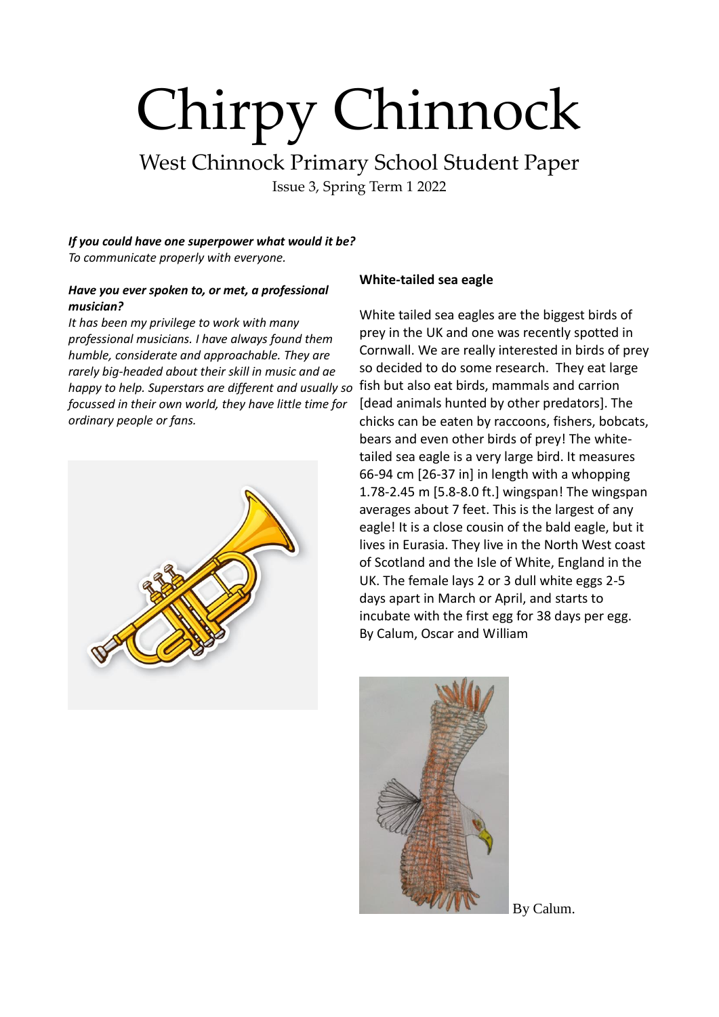West Chinnock Primary School Student Paper

Issue 3, Spring Term 1 2022

*If you could have one superpower what would it be? To communicate properly with everyone.*

#### *Have you ever spoken to, or met, a professional musician?*

*It has been my privilege to work with many professional musicians. I have always found them humble, considerate and approachable. They are rarely big-headed about their skill in music and ae happy to help. Superstars are different and usually so*  fish but also eat birds, mammals and carrion *focussed in their own world, they have little time for ordinary people or fans.*



#### **White-tailed sea eagle**

White tailed sea eagles are the biggest birds of prey in the UK and one was recently spotted in Cornwall. We are really interested in birds of prey so decided to do some research. They eat large [dead animals hunted by other predators]. The chicks can be eaten by raccoons, fishers, bobcats, bears and even other birds of prey! The whitetailed sea eagle is a very large bird. It measures 66-94 cm [26-37 in] in length with a whopping 1.78-2.45 m [5.8-8.0 ft.] wingspan! The wingspan averages about 7 feet. This is the largest of any eagle! It is a close cousin of the bald eagle, but it lives in Eurasia. They live in the North West coast of Scotland and the Isle of White, England in the UK. The female lays 2 or 3 dull white eggs 2-5 days apart in March or April, and starts to incubate with the first egg for 38 days per egg. By Calum, Oscar and William



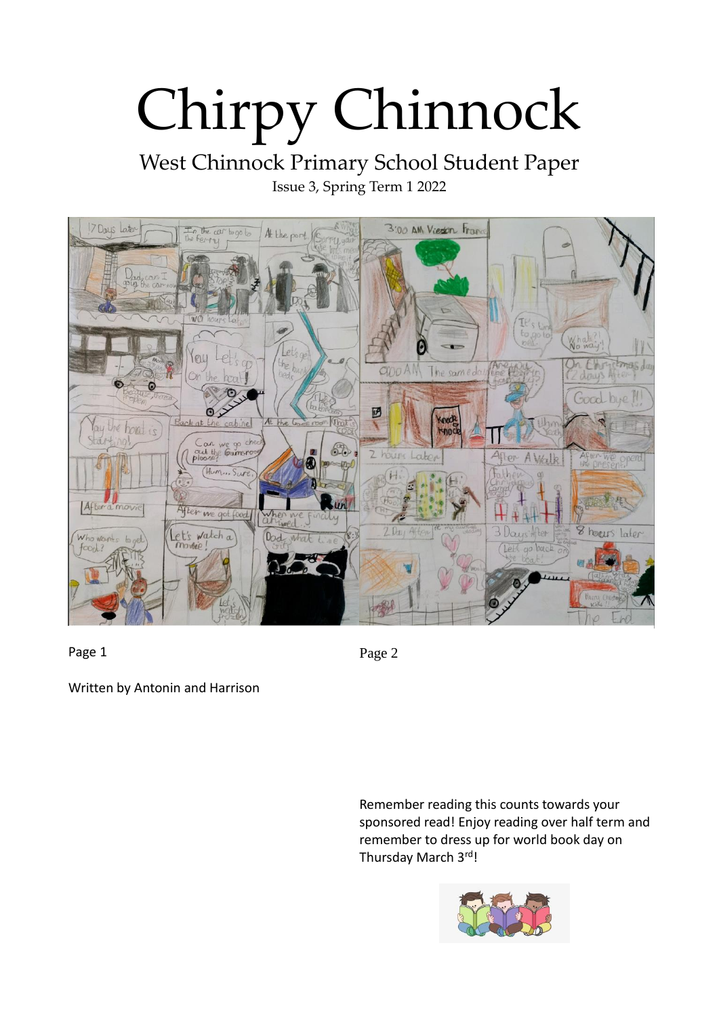West Chinnock Primary School Student Paper Issue 3, Spring Term 1 2022



Page 1

Page 2

Written by Antonin and Harrison

Remember reading this counts towards your sponsored read! Enjoy reading over half term and remember to dress up for world book day on Thursday March 3rd!